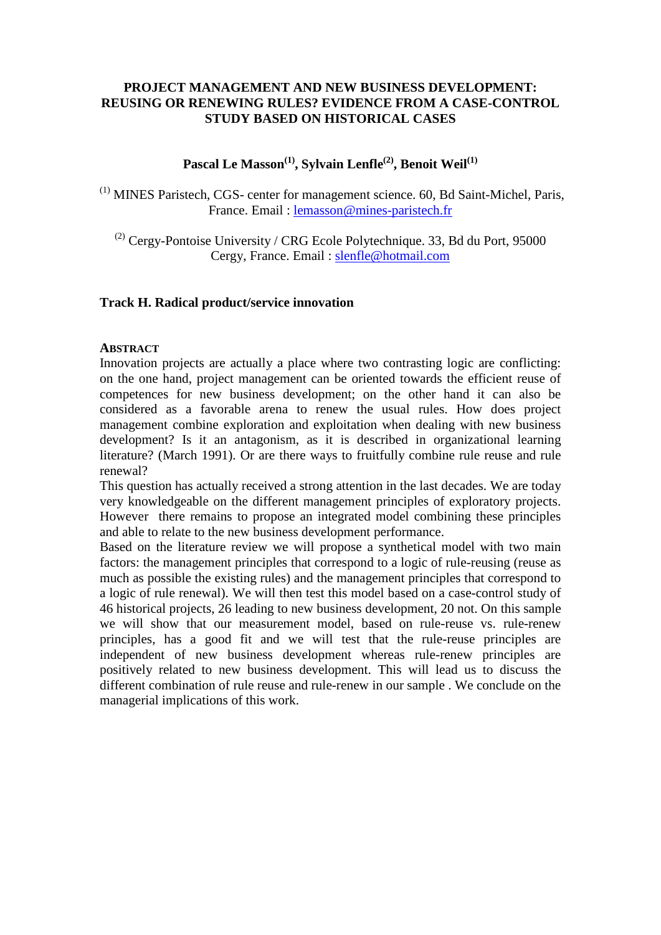## **PROJECT MANAGEMENT AND NEW BUSINESS DEVELOPMENT: REUSING OR RENEWING RULES? EVIDENCE FROM A CASE-CONTROL STUDY BASED ON HISTORICAL CASES**

Pascal Le Masson<sup>(1)</sup>, Sylvain Lenfle<sup>(2)</sup>, Benoit Weil<sup>(1)</sup>

(1) MINES Paristech, CGS- center for management science. 60, Bd Saint-Michel, Paris, France. Email : [lemasson@mines-paristech.fr](mailto:lemasson@mines-paristech.fr)

 $(2)$  Cergy-Pontoise University / CRG Ecole Polytechnique. 33, Bd du Port, 95000 Cergy, France. Email : [slenfle@hotmail.com](mailto:slenfle@hotmail.com)

## **Track H. Radical product/service innovation**

### **ABSTRACT**

Innovation projects are actually a place where two contrasting logic are conflicting: on the one hand, project management can be oriented towards the efficient reuse of competences for new business development; on the other hand it can also be considered as a favorable arena to renew the usual rules. How does project management combine exploration and exploitation when dealing with new business development? Is it an antagonism, as it is described in organizational learning literature? (March 1991). Or are there ways to fruitfully combine rule reuse and rule renewal?

This question has actually received a strong attention in the last decades. We are today very knowledgeable on the different management principles of exploratory projects. However there remains to propose an integrated model combining these principles and able to relate to the new business development performance.

Based on the literature review we will propose a synthetical model with two main factors: the management principles that correspond to a logic of rule-reusing (reuse as much as possible the existing rules) and the management principles that correspond to a logic of rule renewal). We will then test this model based on a case-control study of 46 historical projects, 26 leading to new business development, 20 not. On this sample we will show that our measurement model, based on rule-reuse vs. rule-renew principles, has a good fit and we will test that the rule-reuse principles are independent of new business development whereas rule-renew principles are positively related to new business development. This will lead us to discuss the different combination of rule reuse and rule-renew in our sample . We conclude on the managerial implications of this work.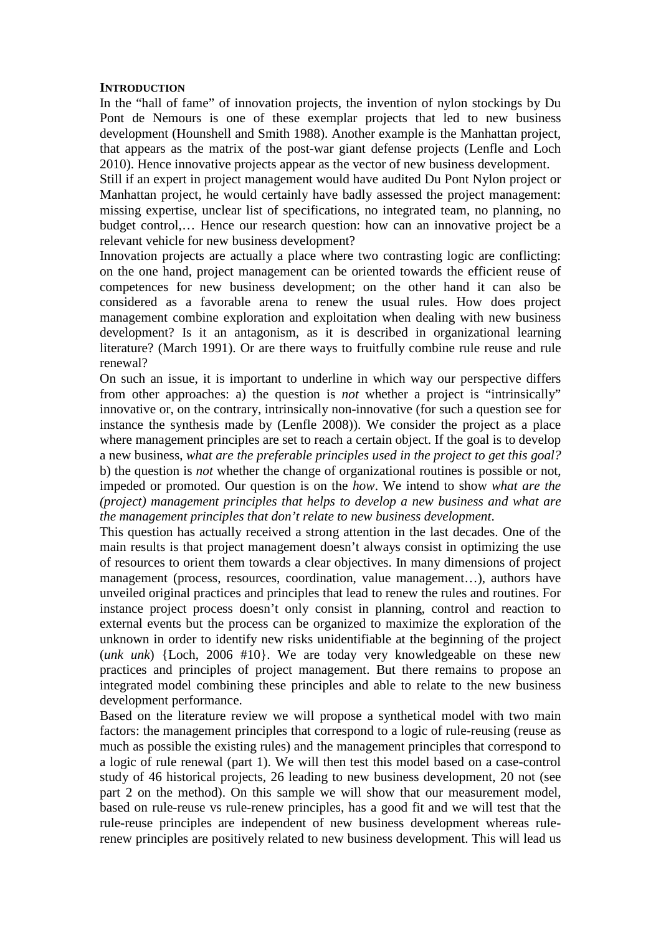#### **INTRODUCTION**

In the "hall of fame" of innovation projects, the invention of nylon stockings by Du Pont de Nemours is one of these exemplar projects that led to new business development (Hounshell and Smith 1988). Another example is the Manhattan project, that appears as the matrix of the post-war giant defense projects (Lenfle and Loch 2010). Hence innovative projects appear as the vector of new business development.

Still if an expert in project management would have audited Du Pont Nylon project or Manhattan project, he would certainly have badly assessed the project management: missing expertise, unclear list of specifications, no integrated team, no planning, no budget control,… Hence our research question: how can an innovative project be a relevant vehicle for new business development?

Innovation projects are actually a place where two contrasting logic are conflicting: on the one hand, project management can be oriented towards the efficient reuse of competences for new business development; on the other hand it can also be considered as a favorable arena to renew the usual rules. How does project management combine exploration and exploitation when dealing with new business development? Is it an antagonism, as it is described in organizational learning literature? (March 1991). Or are there ways to fruitfully combine rule reuse and rule renewal?

On such an issue, it is important to underline in which way our perspective differs from other approaches: a) the question is *not* whether a project is "intrinsically" innovative or, on the contrary, intrinsically non-innovative (for such a question see for instance the synthesis made by (Lenfle 2008)). We consider the project as a place where management principles are set to reach a certain object. If the goal is to develop a new business, *what are the preferable principles used in the project to get this goal?* b) the question is *not* whether the change of organizational routines is possible or not, impeded or promoted. Our question is on the *how*. We intend to show *what are the (project) management principles that helps to develop a new business and what are the management principles that don't relate to new business development*.

This question has actually received a strong attention in the last decades. One of the main results is that project management doesn't always consist in optimizing the use of resources to orient them towards a clear objectives. In many dimensions of project management (process, resources, coordination, value management…), authors have unveiled original practices and principles that lead to renew the rules and routines. For instance project process doesn't only consist in planning, control and reaction to external events but the process can be organized to maximize the exploration of the unknown in order to identify new risks unidentifiable at the beginning of the project (*unk unk*) {Loch, 2006 #10}. We are today very knowledgeable on these new practices and principles of project management. But there remains to propose an integrated model combining these principles and able to relate to the new business development performance.

Based on the literature review we will propose a synthetical model with two main factors: the management principles that correspond to a logic of rule-reusing (reuse as much as possible the existing rules) and the management principles that correspond to a logic of rule renewal (part 1). We will then test this model based on a case-control study of 46 historical projects, 26 leading to new business development, 20 not (see part 2 on the method). On this sample we will show that our measurement model, based on rule-reuse vs rule-renew principles, has a good fit and we will test that the rule-reuse principles are independent of new business development whereas rulerenew principles are positively related to new business development. This will lead us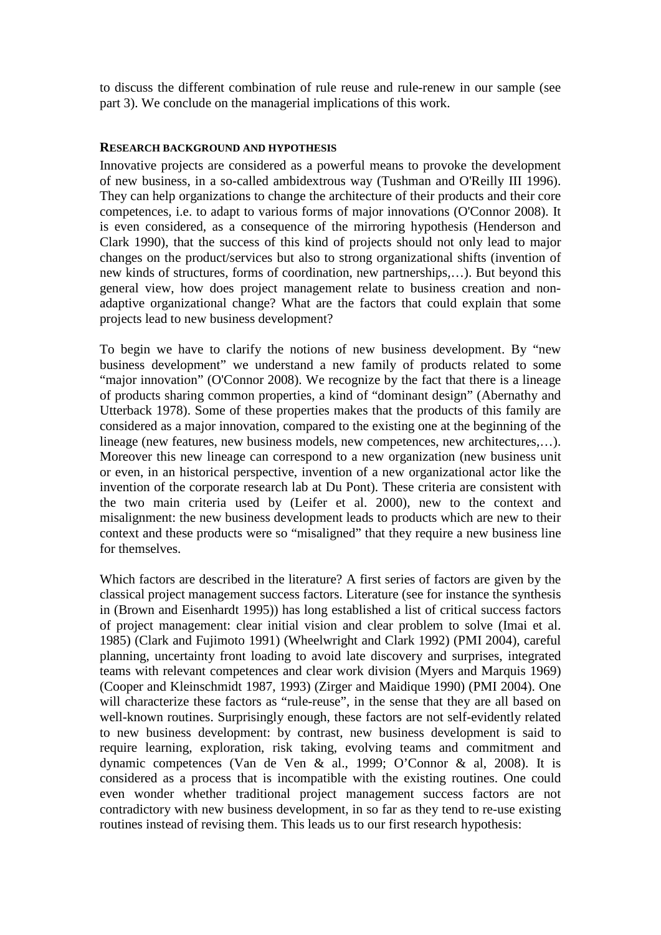to discuss the different combination of rule reuse and rule-renew in our sample (see part 3). We conclude on the managerial implications of this work.

#### **RESEARCH BACKGROUND AND HYPOTHESIS**

Innovative projects are considered as a powerful means to provoke the development of new business, in a so-called ambidextrous way (Tushman and O'Reilly III 1996). They can help organizations to change the architecture of their products and their core competences, i.e. to adapt to various forms of major innovations (O'Connor 2008). It is even considered, as a consequence of the mirroring hypothesis (Henderson and Clark 1990), that the success of this kind of projects should not only lead to major changes on the product/services but also to strong organizational shifts (invention of new kinds of structures, forms of coordination, new partnerships,…). But beyond this general view, how does project management relate to business creation and nonadaptive organizational change? What are the factors that could explain that some projects lead to new business development?

To begin we have to clarify the notions of new business development. By "new business development" we understand a new family of products related to some "major innovation" (O'Connor 2008). We recognize by the fact that there is a lineage of products sharing common properties, a kind of "dominant design" (Abernathy and Utterback 1978). Some of these properties makes that the products of this family are considered as a major innovation, compared to the existing one at the beginning of the lineage (new features, new business models, new competences, new architectures,…). Moreover this new lineage can correspond to a new organization (new business unit or even, in an historical perspective, invention of a new organizational actor like the invention of the corporate research lab at Du Pont). These criteria are consistent with the two main criteria used by (Leifer et al. 2000), new to the context and misalignment: the new business development leads to products which are new to their context and these products were so "misaligned" that they require a new business line for themselves.

Which factors are described in the literature? A first series of factors are given by the classical project management success factors. Literature (see for instance the synthesis in (Brown and Eisenhardt 1995)) has long established a list of critical success factors of project management: clear initial vision and clear problem to solve (Imai et al. 1985) (Clark and Fujimoto 1991) (Wheelwright and Clark 1992) (PMI 2004), careful planning, uncertainty front loading to avoid late discovery and surprises, integrated teams with relevant competences and clear work division (Myers and Marquis 1969) (Cooper and Kleinschmidt 1987, 1993) (Zirger and Maidique 1990) (PMI 2004). One will characterize these factors as "rule-reuse", in the sense that they are all based on well-known routines. Surprisingly enough, these factors are not self-evidently related to new business development: by contrast, new business development is said to require learning, exploration, risk taking, evolving teams and commitment and dynamic competences (Van de Ven & al., 1999; O'Connor & al, 2008). It is considered as a process that is incompatible with the existing routines. One could even wonder whether traditional project management success factors are not contradictory with new business development, in so far as they tend to re-use existing routines instead of revising them. This leads us to our first research hypothesis: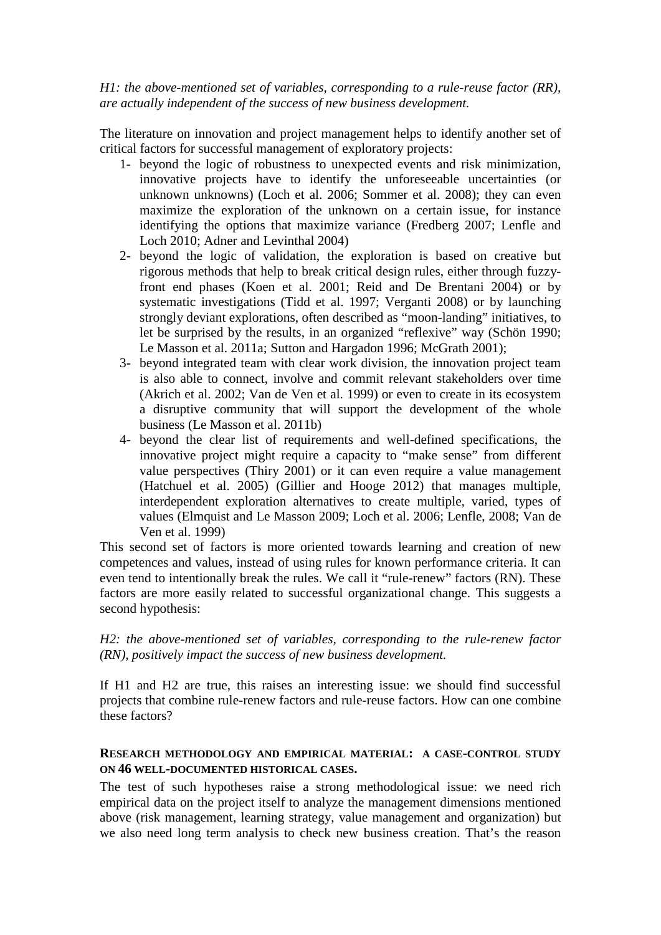*H1: the above-mentioned set of variables, corresponding to a rule-reuse factor (RR), are actually independent of the success of new business development.* 

The literature on innovation and project management helps to identify another set of critical factors for successful management of exploratory projects:

- 1- beyond the logic of robustness to unexpected events and risk minimization, innovative projects have to identify the unforeseeable uncertainties (or unknown unknowns) (Loch et al. 2006; Sommer et al. 2008); they can even maximize the exploration of the unknown on a certain issue, for instance identifying the options that maximize variance (Fredberg 2007; Lenfle and Loch 2010; Adner and Levinthal 2004)
- 2- beyond the logic of validation, the exploration is based on creative but rigorous methods that help to break critical design rules, either through fuzzyfront end phases (Koen et al. 2001; Reid and De Brentani 2004) or by systematic investigations (Tidd et al. 1997; Verganti 2008) or by launching strongly deviant explorations, often described as "moon-landing" initiatives, to let be surprised by the results, in an organized "reflexive" way (Schön 1990; Le Masson et al. 2011a; Sutton and Hargadon 1996; McGrath 2001);
- 3- beyond integrated team with clear work division, the innovation project team is also able to connect, involve and commit relevant stakeholders over time (Akrich et al. 2002; Van de Ven et al. 1999) or even to create in its ecosystem a disruptive community that will support the development of the whole business (Le Masson et al. 2011b)
- 4- beyond the clear list of requirements and well-defined specifications, the innovative project might require a capacity to "make sense" from different value perspectives (Thiry 2001) or it can even require a value management (Hatchuel et al. 2005) (Gillier and Hooge 2012) that manages multiple, interdependent exploration alternatives to create multiple, varied, types of values (Elmquist and Le Masson 2009; Loch et al. 2006; Lenfle, 2008; Van de Ven et al. 1999)

This second set of factors is more oriented towards learning and creation of new competences and values, instead of using rules for known performance criteria. It can even tend to intentionally break the rules. We call it "rule-renew" factors (RN). These factors are more easily related to successful organizational change. This suggests a second hypothesis:

*H2: the above-mentioned set of variables, corresponding to the rule-renew factor (RN), positively impact the success of new business development.* 

If H1 and H2 are true, this raises an interesting issue: we should find successful projects that combine rule-renew factors and rule-reuse factors. How can one combine these factors?

### **RESEARCH METHODOLOGY AND EMPIRICAL MATERIAL: A CASE-CONTROL STUDY ON 46 WELL-DOCUMENTED HISTORICAL CASES.**

The test of such hypotheses raise a strong methodological issue: we need rich empirical data on the project itself to analyze the management dimensions mentioned above (risk management, learning strategy, value management and organization) but we also need long term analysis to check new business creation. That's the reason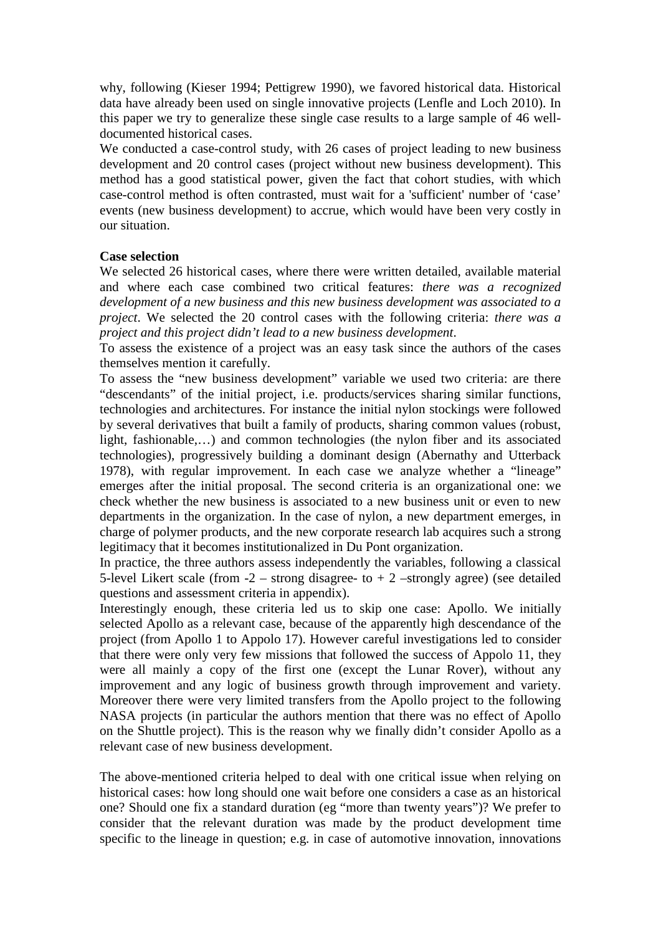why, following (Kieser 1994; Pettigrew 1990), we favored historical data. Historical data have already been used on single innovative projects (Lenfle and Loch 2010). In this paper we try to generalize these single case results to a large sample of 46 welldocumented historical cases.

We conducted a case-control study, with 26 cases of project leading to new business development and 20 control cases (project without new business development). This method has a good statistical power, given the fact that cohort studies, with which case-control method is often contrasted, must wait for a 'sufficient' number of 'case' events (new business development) to accrue, which would have been very costly in our situation.

### **Case selection**

We selected 26 historical cases, where there were written detailed, available material and where each case combined two critical features: *there was a recognized development of a new business and this new business development was associated to a project*. We selected the 20 control cases with the following criteria: *there was a project and this project didn't lead to a new business development*.

To assess the existence of a project was an easy task since the authors of the cases themselves mention it carefully.

To assess the "new business development" variable we used two criteria: are there "descendants" of the initial project, i.e. products/services sharing similar functions, technologies and architectures. For instance the initial nylon stockings were followed by several derivatives that built a family of products, sharing common values (robust, light, fashionable,…) and common technologies (the nylon fiber and its associated technologies), progressively building a dominant design (Abernathy and Utterback 1978), with regular improvement. In each case we analyze whether a "lineage" emerges after the initial proposal. The second criteria is an organizational one: we check whether the new business is associated to a new business unit or even to new departments in the organization. In the case of nylon, a new department emerges, in charge of polymer products, and the new corporate research lab acquires such a strong legitimacy that it becomes institutionalized in Du Pont organization.

In practice, the three authors assess independently the variables, following a classical 5-level Likert scale (from  $-2$  – strong disagree- to  $+ 2$  –strongly agree) (see detailed questions and assessment criteria in appendix).

Interestingly enough, these criteria led us to skip one case: Apollo. We initially selected Apollo as a relevant case, because of the apparently high descendance of the project (from Apollo 1 to Appolo 17). However careful investigations led to consider that there were only very few missions that followed the success of Appolo 11, they were all mainly a copy of the first one (except the Lunar Rover), without any improvement and any logic of business growth through improvement and variety. Moreover there were very limited transfers from the Apollo project to the following NASA projects (in particular the authors mention that there was no effect of Apollo on the Shuttle project). This is the reason why we finally didn't consider Apollo as a relevant case of new business development.

The above-mentioned criteria helped to deal with one critical issue when relying on historical cases: how long should one wait before one considers a case as an historical one? Should one fix a standard duration (eg "more than twenty years")? We prefer to consider that the relevant duration was made by the product development time specific to the lineage in question; e.g. in case of automotive innovation, innovations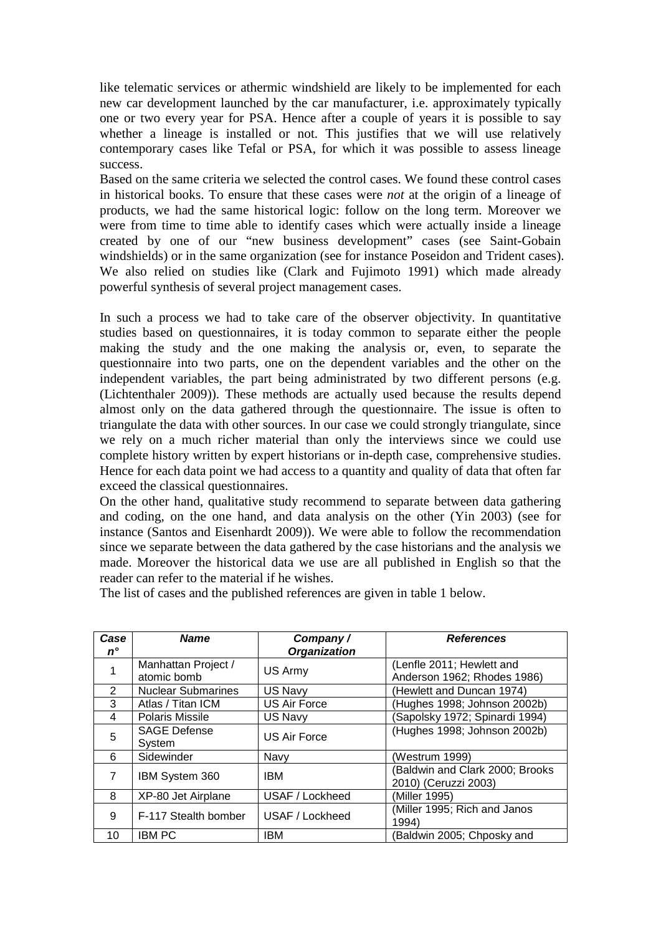like telematic services or athermic windshield are likely to be implemented for each new car development launched by the car manufacturer, i.e. approximately typically one or two every year for PSA. Hence after a couple of years it is possible to say whether a lineage is installed or not. This justifies that we will use relatively contemporary cases like Tefal or PSA, for which it was possible to assess lineage success.

Based on the same criteria we selected the control cases. We found these control cases in historical books. To ensure that these cases were *not* at the origin of a lineage of products, we had the same historical logic: follow on the long term. Moreover we were from time to time able to identify cases which were actually inside a lineage created by one of our "new business development" cases (see Saint-Gobain windshields) or in the same organization (see for instance Poseidon and Trident cases). We also relied on studies like (Clark and Fujimoto 1991) which made already powerful synthesis of several project management cases.

In such a process we had to take care of the observer objectivity. In quantitative studies based on questionnaires, it is today common to separate either the people making the study and the one making the analysis or, even, to separate the questionnaire into two parts, one on the dependent variables and the other on the independent variables, the part being administrated by two different persons (e.g. (Lichtenthaler 2009)). These methods are actually used because the results depend almost only on the data gathered through the questionnaire. The issue is often to triangulate the data with other sources. In our case we could strongly triangulate, since we rely on a much richer material than only the interviews since we could use complete history written by expert historians or in-depth case, comprehensive studies. Hence for each data point we had access to a quantity and quality of data that often far exceed the classical questionnaires.

On the other hand, qualitative study recommend to separate between data gathering and coding, on the one hand, and data analysis on the other (Yin 2003) (see for instance (Santos and Eisenhardt 2009)). We were able to follow the recommendation since we separate between the data gathered by the case historians and the analysis we made. Moreover the historical data we use are all published in English so that the reader can refer to the material if he wishes.

The list of cases and the published references are given in table 1 below.

| Case           | <b>Name</b>                        | Company/            | <b>References</b>                                        |
|----------------|------------------------------------|---------------------|----------------------------------------------------------|
| 'n°            |                                    | <b>Organization</b> |                                                          |
|                | Manhattan Project /<br>atomic bomb | US Army             | (Lenfle 2011; Hewlett and<br>Anderson 1962; Rhodes 1986) |
| 2              | <b>Nuclear Submarines</b>          | US Navy             | (Hewlett and Duncan 1974)                                |
| 3              | Atlas / Titan ICM                  | US Air Force        | (Hughes 1998; Johnson 2002b)                             |
| 4              | <b>Polaris Missile</b>             | US Navy             | (Sapolsky 1972; Spinardi 1994)                           |
| 5              | <b>SAGE Defense</b>                | <b>US Air Force</b> | (Hughes 1998; Johnson 2002b)                             |
|                | System                             |                     |                                                          |
| 6              | Sidewinder                         | Navy                | (Westrum 1999)                                           |
| $\overline{7}$ | IBM System 360                     | <b>IBM</b>          | (Baldwin and Clark 2000; Brooks                          |
|                |                                    |                     | 2010) (Ceruzzi 2003)                                     |
| 8              | XP-80 Jet Airplane                 | USAF / Lockheed     | (Miller 1995)                                            |
| 9              | F-117 Stealth bomber               | USAF / Lockheed     | (Miller 1995; Rich and Janos                             |
|                |                                    |                     | 1994)                                                    |
| 10             | IBM PC                             | <b>IBM</b>          | (Baldwin 2005; Chposky and                               |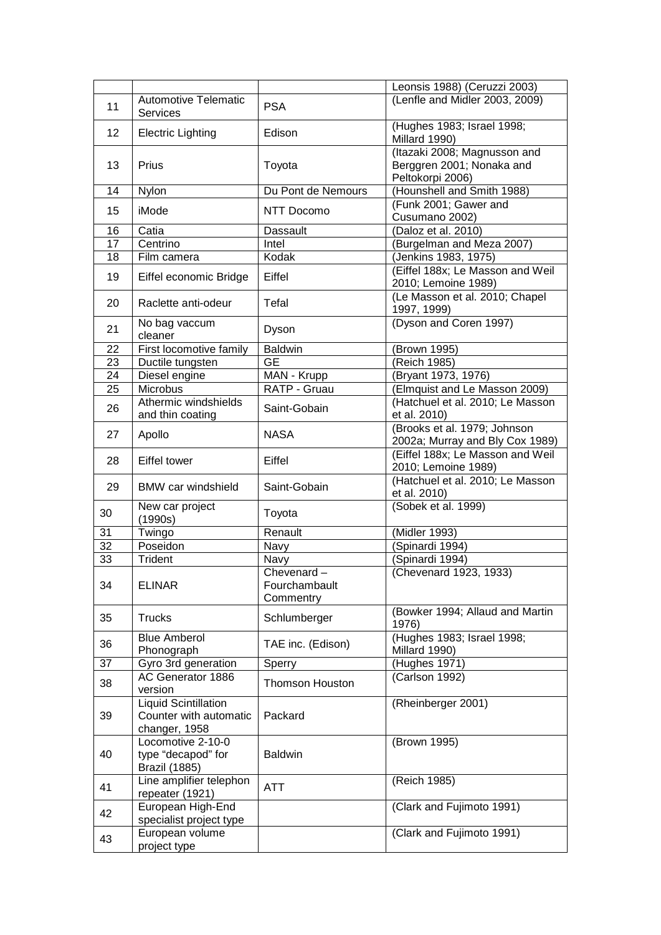|    |                                                                        |                                          | Leonsis 1988) (Ceruzzi 2003)                                                  |
|----|------------------------------------------------------------------------|------------------------------------------|-------------------------------------------------------------------------------|
| 11 | <b>Automotive Telematic</b><br>Services                                | <b>PSA</b>                               | (Lenfle and Midler 2003, 2009)                                                |
| 12 | <b>Electric Lighting</b>                                               | Edison                                   | (Hughes 1983; Israel 1998;<br>Millard 1990)                                   |
| 13 | Prius                                                                  | Toyota                                   | (Itazaki 2008; Magnusson and<br>Berggren 2001; Nonaka and<br>Peltokorpi 2006) |
| 14 | Nylon                                                                  | Du Pont de Nemours                       | (Hounshell and Smith 1988)                                                    |
| 15 | iMode                                                                  | NTT Docomo                               | (Funk 2001; Gawer and<br>Cusumano 2002)                                       |
| 16 | Catia                                                                  | <b>Dassault</b>                          | $\overline{(Daloz}$ et al. 2010)                                              |
| 17 | Centrino                                                               | Intel                                    | (Burgelman and Meza 2007)                                                     |
| 18 | Film camera                                                            | Kodak                                    | (Jenkins 1983, 1975)                                                          |
| 19 | Eiffel economic Bridge                                                 | Eiffel                                   | (Eiffel 188x; Le Masson and Weil<br>2010; Lemoine 1989)                       |
| 20 | Raclette anti-odeur                                                    | Tefal                                    | (Le Masson et al. 2010; Chapel<br>1997, 1999)                                 |
| 21 | No bag vaccum<br>cleaner                                               | Dyson                                    | (Dyson and Coren 1997)                                                        |
| 22 | First locomotive family                                                | <b>Baldwin</b>                           | (Brown 1995)                                                                  |
| 23 | Ductile tungsten                                                       | <b>GE</b>                                | (Reich 1985)                                                                  |
| 24 | Diesel engine                                                          | MAN - Krupp                              | (Bryant 1973, 1976)                                                           |
| 25 | Microbus                                                               | RATP - Gruau                             | Elmquist and Le Masson 2009)                                                  |
|    | Athermic windshields                                                   |                                          | (Hatchuel et al. 2010; Le Masson                                              |
| 26 | and thin coating                                                       | Saint-Gobain                             | et al. 2010)                                                                  |
| 27 | Apollo                                                                 | <b>NASA</b>                              | (Brooks et al. 1979; Johnson<br>2002a; Murray and Bly Cox 1989)               |
| 28 | Eiffel tower                                                           | Eiffel                                   | (Eiffel 188x; Le Masson and Weil<br>2010; Lemoine 1989)                       |
| 29 | <b>BMW</b> car windshield                                              | Saint-Gobain                             | (Hatchuel et al. 2010; Le Masson<br>et al. 2010)                              |
| 30 | New car project<br>(1990s)                                             | Toyota                                   | (Sobek et al. 1999)                                                           |
| 31 | Twingo                                                                 | Renault                                  | $\overline{\text{(Midler 1993)}}$                                             |
| 32 | Poseidon                                                               | Navy                                     | (Spinardi 1994)                                                               |
| 33 | Trident                                                                | Navy                                     | (Spinardi 1994)                                                               |
| 34 | <b>ELINAR</b>                                                          | Chevenard-<br>Fourchambault<br>Commentry | (Chevenard 1923, 1933)                                                        |
| 35 | <b>Trucks</b>                                                          | Schlumberger                             | (Bowker 1994; Allaud and Martin<br>1976)                                      |
| 36 | <b>Blue Amberol</b><br>Phonograph                                      | TAE inc. (Edison)                        | (Hughes 1983; Israel 1998;<br>Millard 1990)                                   |
| 37 | Gyro 3rd generation                                                    | Sperry                                   | (Hughes 1971)                                                                 |
| 38 | AC Generator 1886<br>version                                           | <b>Thomson Houston</b>                   | (Carlson 1992)                                                                |
| 39 | <b>Liquid Scintillation</b><br>Counter with automatic<br>changer, 1958 | Packard                                  | (Rheinberger 2001)                                                            |
| 40 | Locomotive 2-10-0<br>type "decapod" for<br><b>Brazil (1885)</b>        | <b>Baldwin</b>                           | (Brown 1995)                                                                  |
| 41 | Line amplifier telephon<br>repeater (1921)                             | ATT                                      | (Reich 1985)                                                                  |
| 42 | European High-End<br>specialist project type                           |                                          | (Clark and Fujimoto 1991)                                                     |
| 43 | European volume<br>project type                                        |                                          | (Clark and Fujimoto 1991)                                                     |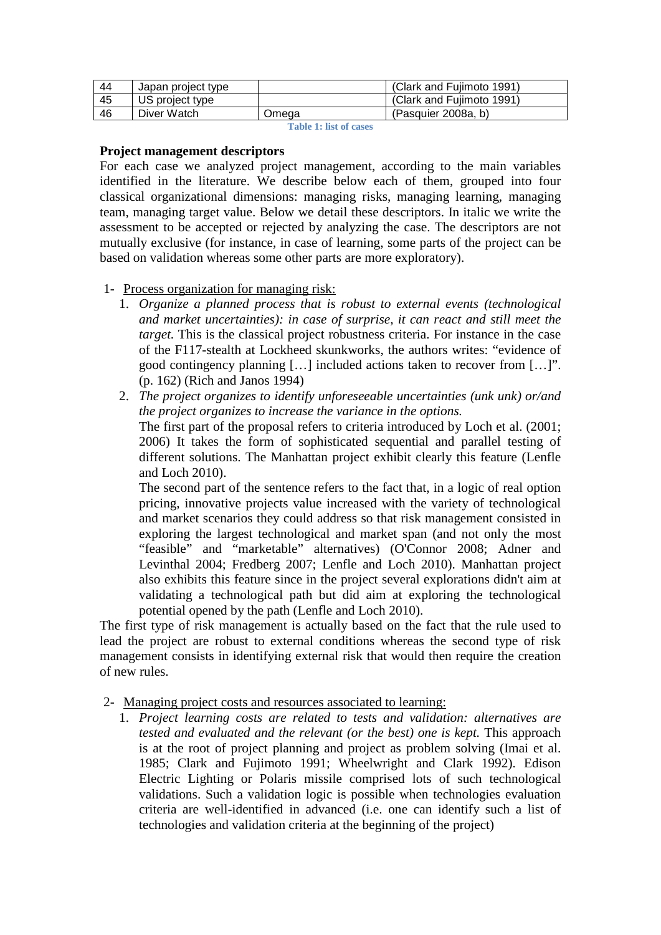| 44 | Japan project type |       | (Clark and Fujimoto 1991) |
|----|--------------------|-------|---------------------------|
| 45 | US project type    |       | (Clark and Fujimoto 1991) |
| 46 | Diver Watch        | Omega | (Pasquier 2008a, b)       |

**Table 1: list of cases**

### **Project management descriptors**

For each case we analyzed project management, according to the main variables identified in the literature. We describe below each of them, grouped into four classical organizational dimensions: managing risks, managing learning, managing team, managing target value. Below we detail these descriptors. In italic we write the assessment to be accepted or rejected by analyzing the case. The descriptors are not mutually exclusive (for instance, in case of learning, some parts of the project can be based on validation whereas some other parts are more exploratory).

# 1- Process organization for managing risk:

- 1. *Organize a planned process that is robust to external events (technological and market uncertainties): in case of surprise, it can react and still meet the target.* This is the classical project robustness criteria. For instance in the case of the F117-stealth at Lockheed skunkworks, the authors writes: "evidence of good contingency planning […] included actions taken to recover from […]". (p. 162) (Rich and Janos 1994)
- 2. *The project organizes to identify unforeseeable uncertainties (unk unk) or/and the project organizes to increase the variance in the options.* The first part of the proposal refers to criteria introduced by Loch et al. (2001; 2006) It takes the form of sophisticated sequential and parallel testing of different solutions. The Manhattan project exhibit clearly this feature (Lenfle and Loch 2010).

The second part of the sentence refers to the fact that, in a logic of real option pricing, innovative projects value increased with the variety of technological and market scenarios they could address so that risk management consisted in exploring the largest technological and market span (and not only the most "feasible" and "marketable" alternatives) (O'Connor 2008; Adner and Levinthal 2004; Fredberg 2007; Lenfle and Loch 2010). Manhattan project also exhibits this feature since in the project several explorations didn't aim at validating a technological path but did aim at exploring the technological potential opened by the path (Lenfle and Loch 2010).

The first type of risk management is actually based on the fact that the rule used to lead the project are robust to external conditions whereas the second type of risk management consists in identifying external risk that would then require the creation of new rules.

# 2- Managing project costs and resources associated to learning:

1. *Project learning costs are related to tests and validation: alternatives are tested and evaluated and the relevant (or the best) one is kept.* This approach is at the root of project planning and project as problem solving (Imai et al. 1985; Clark and Fujimoto 1991; Wheelwright and Clark 1992). Edison Electric Lighting or Polaris missile comprised lots of such technological validations. Such a validation logic is possible when technologies evaluation criteria are well-identified in advanced (i.e. one can identify such a list of technologies and validation criteria at the beginning of the project)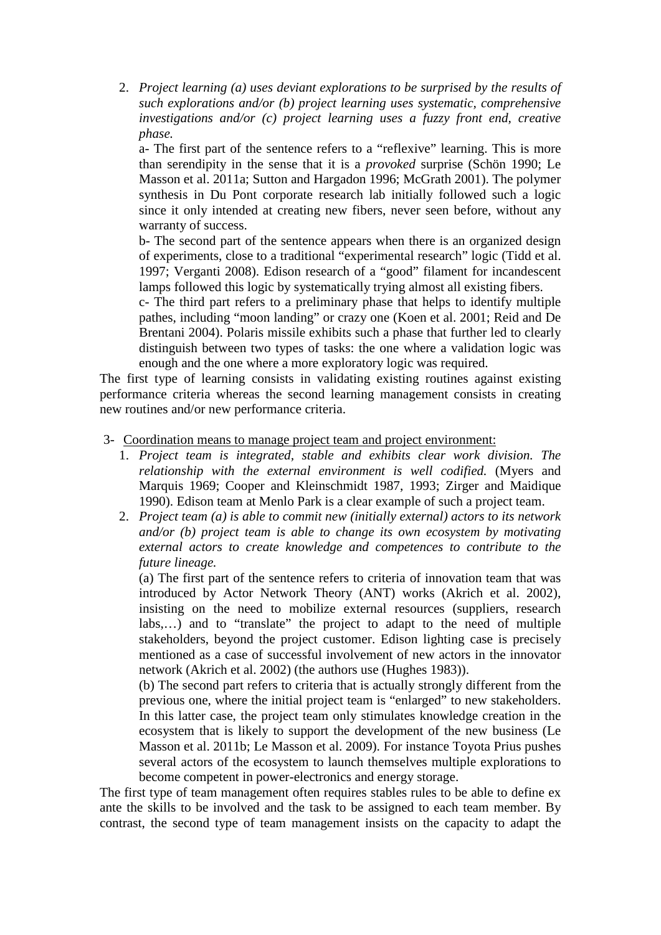2. *Project learning (a) uses deviant explorations to be surprised by the results of such explorations and/or (b) project learning uses systematic, comprehensive investigations and/or (c) project learning uses a fuzzy front end, creative phase.*

a- The first part of the sentence refers to a "reflexive" learning. This is more than serendipity in the sense that it is a *provoked* surprise (Schön 1990; Le Masson et al. 2011a; Sutton and Hargadon 1996; McGrath 2001). The polymer synthesis in Du Pont corporate research lab initially followed such a logic since it only intended at creating new fibers, never seen before, without any warranty of success.

b- The second part of the sentence appears when there is an organized design of experiments, close to a traditional "experimental research" logic (Tidd et al. 1997; Verganti 2008). Edison research of a "good" filament for incandescent lamps followed this logic by systematically trying almost all existing fibers.

c- The third part refers to a preliminary phase that helps to identify multiple pathes, including "moon landing" or crazy one (Koen et al. 2001; Reid and De Brentani 2004). Polaris missile exhibits such a phase that further led to clearly distinguish between two types of tasks: the one where a validation logic was enough and the one where a more exploratory logic was required.

The first type of learning consists in validating existing routines against existing performance criteria whereas the second learning management consists in creating new routines and/or new performance criteria.

- 3- Coordination means to manage project team and project environment:
	- 1. *Project team is integrated, stable and exhibits clear work division. The relationship with the external environment is well codified.* (Myers and Marquis 1969; Cooper and Kleinschmidt 1987, 1993; Zirger and Maidique 1990). Edison team at Menlo Park is a clear example of such a project team.
	- 2. *Project team (a) is able to commit new (initially external) actors to its network and/or (b) project team is able to change its own ecosystem by motivating external actors to create knowledge and competences to contribute to the future lineage.*

(a) The first part of the sentence refers to criteria of innovation team that was introduced by Actor Network Theory (ANT) works (Akrich et al. 2002), insisting on the need to mobilize external resources (suppliers, research labs,…) and to "translate" the project to adapt to the need of multiple stakeholders, beyond the project customer. Edison lighting case is precisely mentioned as a case of successful involvement of new actors in the innovator network (Akrich et al. 2002) (the authors use (Hughes 1983)).

(b) The second part refers to criteria that is actually strongly different from the previous one, where the initial project team is "enlarged" to new stakeholders. In this latter case, the project team only stimulates knowledge creation in the ecosystem that is likely to support the development of the new business (Le Masson et al. 2011b; Le Masson et al. 2009). For instance Toyota Prius pushes several actors of the ecosystem to launch themselves multiple explorations to become competent in power-electronics and energy storage.

The first type of team management often requires stables rules to be able to define ex ante the skills to be involved and the task to be assigned to each team member. By contrast, the second type of team management insists on the capacity to adapt the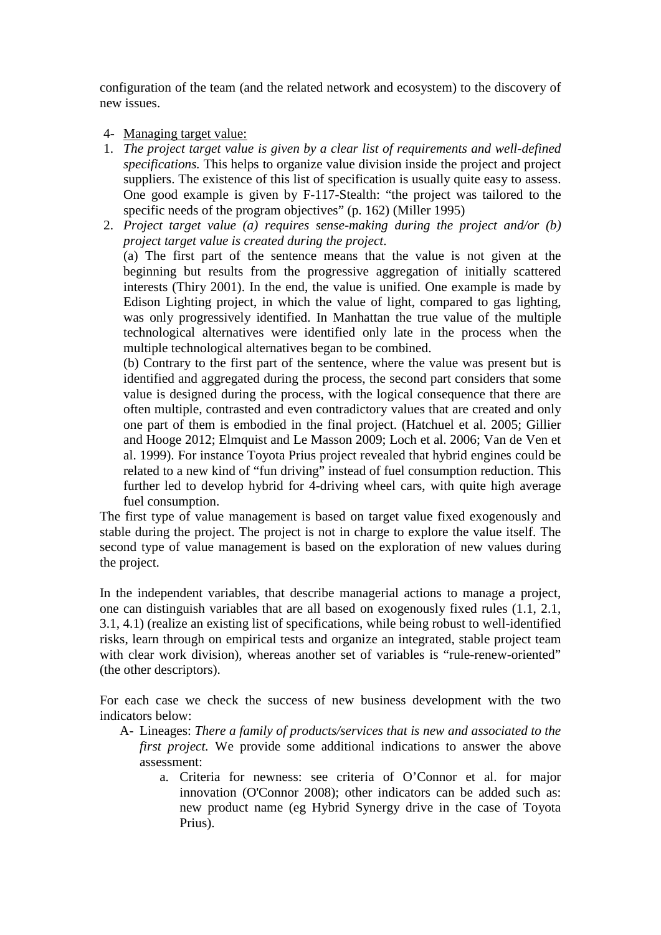configuration of the team (and the related network and ecosystem) to the discovery of new issues.

- 4- Managing target value:
- 1. *The project target value is given by a clear list of requirements and well-defined specifications.* This helps to organize value division inside the project and project suppliers. The existence of this list of specification is usually quite easy to assess. One good example is given by F-117-Stealth: "the project was tailored to the specific needs of the program objectives" (p. 162) (Miller 1995)
- 2. *Project target value (a) requires sense-making during the project and/or (b) project target value is created during the project*.

(a) The first part of the sentence means that the value is not given at the beginning but results from the progressive aggregation of initially scattered interests (Thiry 2001). In the end, the value is unified. One example is made by Edison Lighting project, in which the value of light, compared to gas lighting, was only progressively identified. In Manhattan the true value of the multiple technological alternatives were identified only late in the process when the multiple technological alternatives began to be combined.

(b) Contrary to the first part of the sentence, where the value was present but is identified and aggregated during the process, the second part considers that some value is designed during the process, with the logical consequence that there are often multiple, contrasted and even contradictory values that are created and only one part of them is embodied in the final project. (Hatchuel et al. 2005; Gillier and Hooge 2012; Elmquist and Le Masson 2009; Loch et al. 2006; Van de Ven et al. 1999). For instance Toyota Prius project revealed that hybrid engines could be related to a new kind of "fun driving" instead of fuel consumption reduction. This further led to develop hybrid for 4-driving wheel cars, with quite high average fuel consumption.

The first type of value management is based on target value fixed exogenously and stable during the project. The project is not in charge to explore the value itself. The second type of value management is based on the exploration of new values during the project.

In the independent variables, that describe managerial actions to manage a project, one can distinguish variables that are all based on exogenously fixed rules (1.1, 2.1, 3.1, 4.1) (realize an existing list of specifications, while being robust to well-identified risks, learn through on empirical tests and organize an integrated, stable project team with clear work division), whereas another set of variables is "rule-renew-oriented" (the other descriptors).

For each case we check the success of new business development with the two indicators below:

- A- Lineages: *There a family of products/services that is new and associated to the first project.* We provide some additional indications to answer the above assessment:
	- a. Criteria for newness: see criteria of O'Connor et al. for major innovation (O'Connor 2008); other indicators can be added such as: new product name (eg Hybrid Synergy drive in the case of Toyota Prius).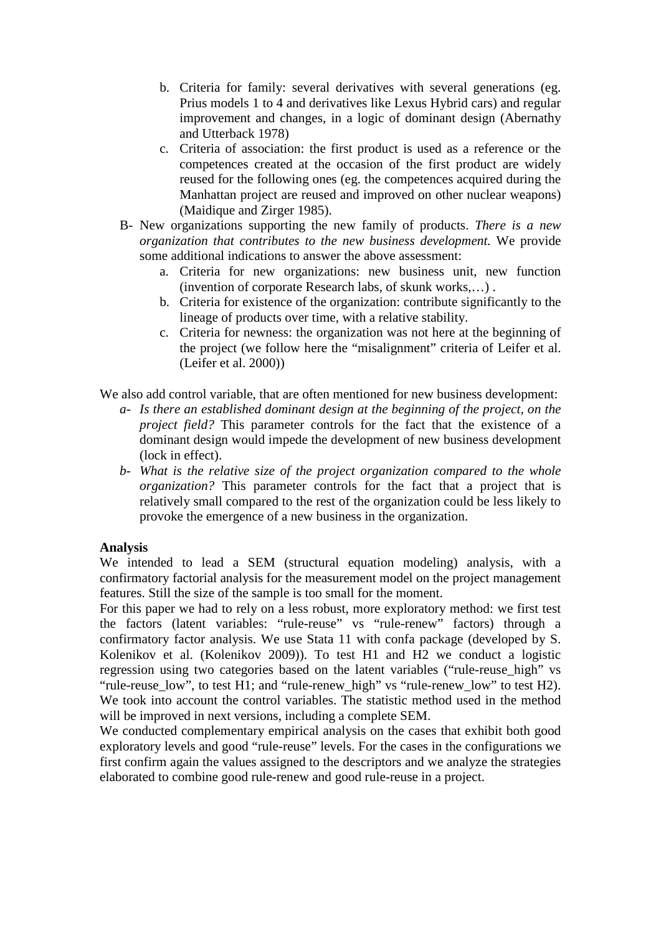- b. Criteria for family: several derivatives with several generations (eg. Prius models 1 to 4 and derivatives like Lexus Hybrid cars) and regular improvement and changes, in a logic of dominant design (Abernathy and Utterback 1978)
- c. Criteria of association: the first product is used as a reference or the competences created at the occasion of the first product are widely reused for the following ones (eg. the competences acquired during the Manhattan project are reused and improved on other nuclear weapons) (Maidique and Zirger 1985).
- B- New organizations supporting the new family of products. *There is a new organization that contributes to the new business development.* We provide some additional indications to answer the above assessment:
	- a. Criteria for new organizations: new business unit, new function (invention of corporate Research labs, of skunk works,…) .
	- b. Criteria for existence of the organization: contribute significantly to the lineage of products over time, with a relative stability.
	- c. Criteria for newness: the organization was not here at the beginning of the project (we follow here the "misalignment" criteria of Leifer et al. (Leifer et al. 2000))

We also add control variable, that are often mentioned for new business development:

- *a- Is there an established dominant design at the beginning of the project, on the project field?* This parameter controls for the fact that the existence of a dominant design would impede the development of new business development (lock in effect).
- *b- What is the relative size of the project organization compared to the whole organization?* This parameter controls for the fact that a project that is relatively small compared to the rest of the organization could be less likely to provoke the emergence of a new business in the organization.

# **Analysis**

We intended to lead a SEM (structural equation modeling) analysis, with a confirmatory factorial analysis for the measurement model on the project management features. Still the size of the sample is too small for the moment.

For this paper we had to rely on a less robust, more exploratory method: we first test the factors (latent variables: "rule-reuse" vs "rule-renew" factors) through a confirmatory factor analysis. We use Stata 11 with confa package (developed by S. Kolenikov et al. (Kolenikov 2009)). To test H1 and H2 we conduct a logistic regression using two categories based on the latent variables ("rule-reuse\_high" vs "rule-reuse\_low", to test H1; and "rule-renew\_high" vs "rule-renew\_low" to test H2). We took into account the control variables. The statistic method used in the method will be improved in next versions, including a complete SEM.

We conducted complementary empirical analysis on the cases that exhibit both good exploratory levels and good "rule-reuse" levels. For the cases in the configurations we first confirm again the values assigned to the descriptors and we analyze the strategies elaborated to combine good rule-renew and good rule-reuse in a project.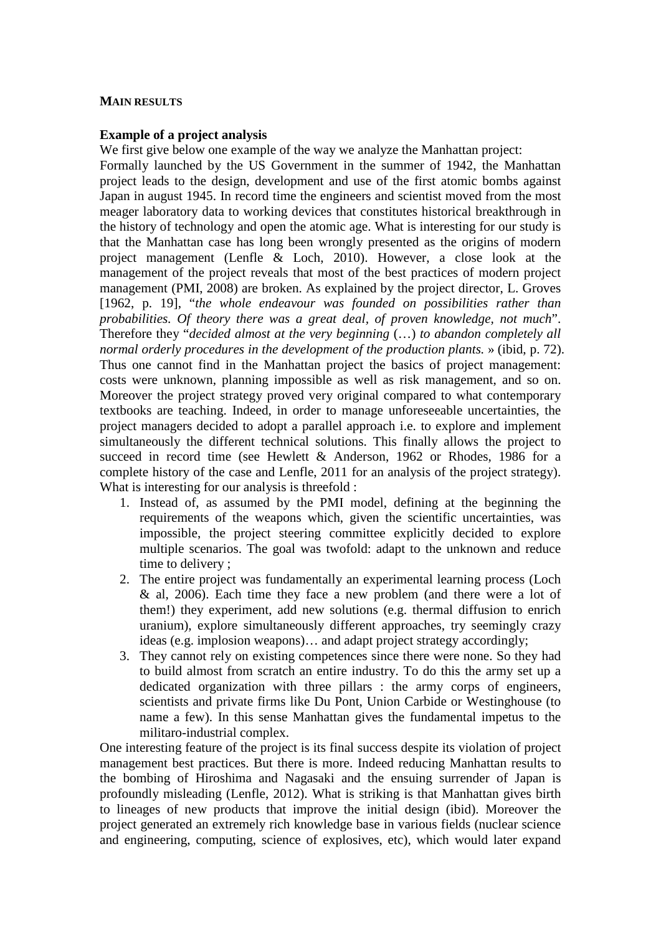### **MAIN RESULTS**

### **Example of a project analysis**

We first give below one example of the way we analyze the Manhattan project: Formally launched by the US Government in the summer of 1942, the Manhattan project leads to the design, development and use of the first atomic bombs against Japan in august 1945. In record time the engineers and scientist moved from the most meager laboratory data to working devices that constitutes historical breakthrough in the history of technology and open the atomic age. What is interesting for our study is that the Manhattan case has long been wrongly presented as the origins of modern project management (Lenfle & Loch, 2010). However, a close look at the management of the project reveals that most of the best practices of modern project management (PMI, 2008) are broken. As explained by the project director, L. Groves [1962, p. 19], "*the whole endeavour was founded on possibilities rather than probabilities. Of theory there was a great deal, of proven knowledge, not much*". Therefore they "*decided almost at the very beginning* (…) *to abandon completely all normal orderly procedures in the development of the production plants.* » (ibid, p. 72). Thus one cannot find in the Manhattan project the basics of project management: costs were unknown, planning impossible as well as risk management, and so on. Moreover the project strategy proved very original compared to what contemporary textbooks are teaching. Indeed, in order to manage unforeseeable uncertainties, the project managers decided to adopt a parallel approach i.e. to explore and implement simultaneously the different technical solutions. This finally allows the project to succeed in record time (see Hewlett & Anderson, 1962 or Rhodes, 1986 for a complete history of the case and Lenfle, 2011 for an analysis of the project strategy). What is interesting for our analysis is threefold :

- 1. Instead of, as assumed by the PMI model, defining at the beginning the requirements of the weapons which, given the scientific uncertainties, was impossible, the project steering committee explicitly decided to explore multiple scenarios. The goal was twofold: adapt to the unknown and reduce time to delivery ;
- 2. The entire project was fundamentally an experimental learning process (Loch & al, 2006). Each time they face a new problem (and there were a lot of them!) they experiment, add new solutions (e.g. thermal diffusion to enrich uranium), explore simultaneously different approaches, try seemingly crazy ideas (e.g. implosion weapons)… and adapt project strategy accordingly;
- 3. They cannot rely on existing competences since there were none. So they had to build almost from scratch an entire industry. To do this the army set up a dedicated organization with three pillars : the army corps of engineers, scientists and private firms like Du Pont, Union Carbide or Westinghouse (to name a few). In this sense Manhattan gives the fundamental impetus to the militaro-industrial complex.

One interesting feature of the project is its final success despite its violation of project management best practices. But there is more. Indeed reducing Manhattan results to the bombing of Hiroshima and Nagasaki and the ensuing surrender of Japan is profoundly misleading (Lenfle, 2012). What is striking is that Manhattan gives birth to lineages of new products that improve the initial design (ibid). Moreover the project generated an extremely rich knowledge base in various fields (nuclear science and engineering, computing, science of explosives, etc), which would later expand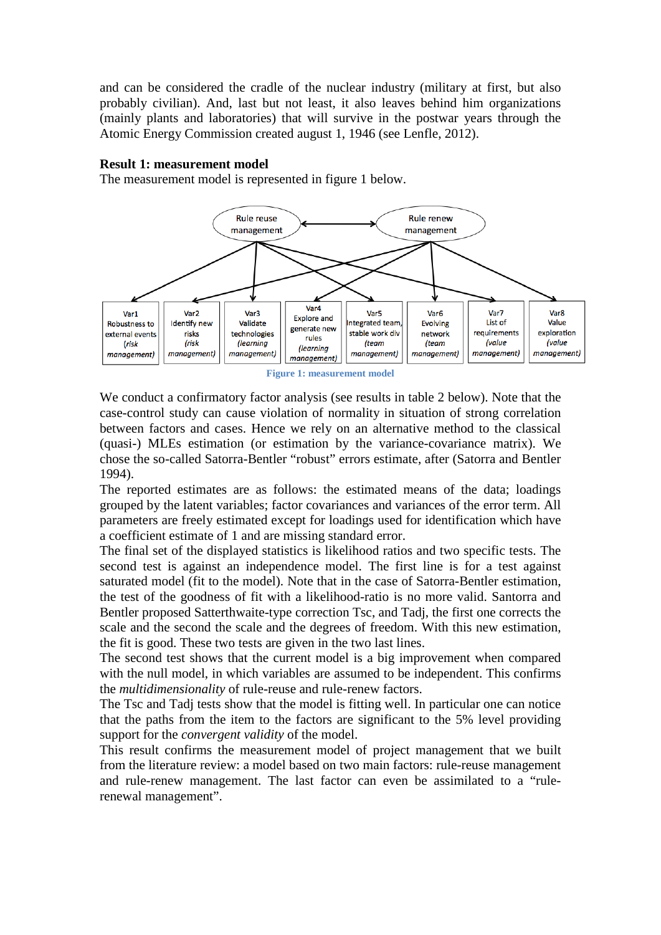and can be considered the cradle of the nuclear industry (military at first, but also probably civilian). And, last but not least, it also leaves behind him organizations (mainly plants and laboratories) that will survive in the postwar years through the Atomic Energy Commission created august 1, 1946 (see Lenfle, 2012).

### **Result 1: measurement model**

The measurement model is represented in figure 1 below.



**Figure 1: measurement model**

We conduct a confirmatory factor analysis (see results in table 2 below). Note that the case-control study can cause violation of normality in situation of strong correlation between factors and cases. Hence we rely on an alternative method to the classical (quasi-) MLEs estimation (or estimation by the variance-covariance matrix). We chose the so-called Satorra-Bentler "robust" errors estimate, after (Satorra and Bentler 1994).

The reported estimates are as follows: the estimated means of the data; loadings grouped by the latent variables; factor covariances and variances of the error term. All parameters are freely estimated except for loadings used for identification which have a coefficient estimate of 1 and are missing standard error.

The final set of the displayed statistics is likelihood ratios and two specific tests. The second test is against an independence model. The first line is for a test against saturated model (fit to the model). Note that in the case of Satorra-Bentler estimation, the test of the goodness of fit with a likelihood-ratio is no more valid. Santorra and Bentler proposed Satterthwaite-type correction Tsc, and Tadj, the first one corrects the scale and the second the scale and the degrees of freedom. With this new estimation, the fit is good. These two tests are given in the two last lines.

The second test shows that the current model is a big improvement when compared with the null model, in which variables are assumed to be independent. This confirms the *multidimensionality* of rule-reuse and rule-renew factors.

The Tsc and Tadj tests show that the model is fitting well. In particular one can notice that the paths from the item to the factors are significant to the 5% level providing support for the *convergent validity* of the model.

This result confirms the measurement model of project management that we built from the literature review: a model based on two main factors: rule-reuse management and rule-renew management. The last factor can even be assimilated to a "rulerenewal management".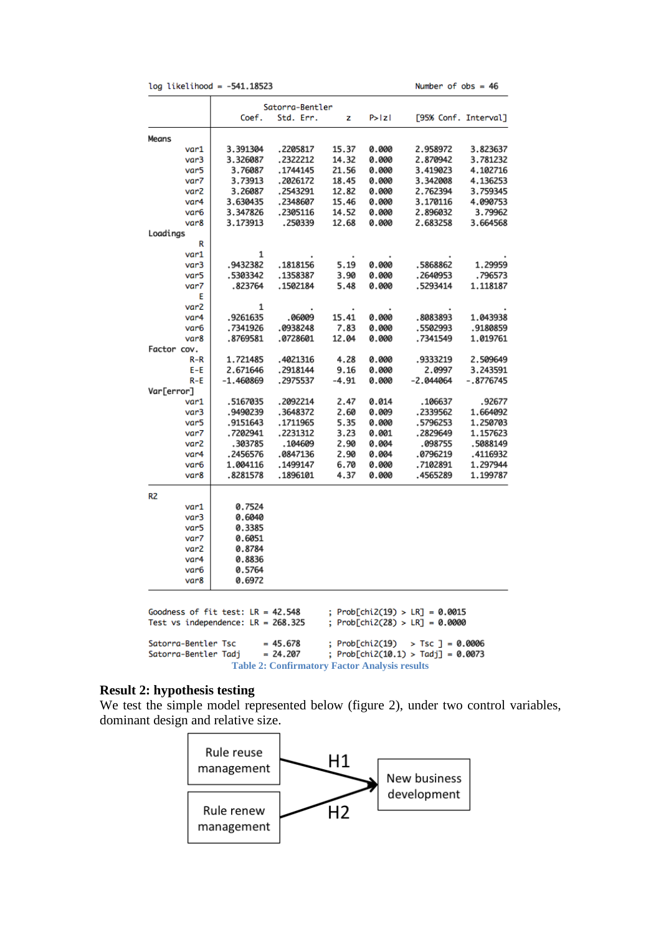|  | log likelihood = -541.18523 |  |  |  |
|--|-----------------------------|--|--|--|
|--|-----------------------------|--|--|--|

|                                    | Satorra-Bentler                      |            |         |                 |                                    |                      |
|------------------------------------|--------------------------------------|------------|---------|-----------------|------------------------------------|----------------------|
|                                    | Coef.                                | Std. Err.  | z       | P>IzI           |                                    | [95% Conf. Interval] |
| Means                              |                                      |            |         |                 |                                    |                      |
| var1                               | 3.391304                             | .2205817   | 15.37   | 0.000           | 2.958972                           | 3.823637             |
| var3                               | 3.326087                             | .2322212   | 14.32   | 0.000           | 2.870942                           | 3.781232             |
| var5                               | 3.76087                              | .1744145   | 21.56   | 0.000           | 3.419023                           | 4.102716             |
| var7                               | 3.73913                              | .2026172   | 18.45   | 0.000           | 3.342008                           | 4.136253             |
| var <sub>2</sub>                   | 3.26087                              | .2543291   | 12.82   | 0.000           | 2.762394                           | 3.759345             |
| var4                               | 3.630435                             | .2348607   | 15.46   | 0.000           | 3.170116                           | 4.090753             |
| var6                               | 3.347826                             | .2305116   | 14.52   | 0.000           | 2.896032                           | 3.79962              |
| var8                               | 3.173913                             | .250339    | 12.68   | 0.000           | 2.683258                           | 3.664568             |
| Loadings                           |                                      |            |         |                 |                                    |                      |
| R                                  |                                      |            |         |                 |                                    |                      |
| var1                               | 1                                    |            |         |                 |                                    |                      |
| var3                               | .9432382                             | .1818156   | 5.19    | 0.000           | .5868862                           | 1.29959              |
| var5                               | .5303342                             | .1358387   | 3.90    | 0.000           | .2640953                           | .796573              |
| var7                               | .823764                              | .1502184   | 5.48    | 0.000           | .5293414                           | 1.118187             |
| Е                                  |                                      |            |         |                 |                                    |                      |
| var2                               | 1                                    |            |         |                 |                                    |                      |
| var4                               | .9261635                             | .06009     | 15.41   | 0.000           | .8083893                           | 1.043938             |
| var6                               | .7341926                             | .0938248   | 7.83    | 0.000           | .5502993                           | .9180859             |
| var8                               | .8769581                             | .0728601   | 12.04   | 0.000           | .7341549                           | 1.019761             |
| Factor cov.                        |                                      |            |         |                 |                                    |                      |
| R-R                                | 1.721485                             | .4021316   | 4.28    | 0.000           | .9333219                           | 2.509649             |
| E-E                                | 2.671646                             | .2918144   | 9.16    | 0.000           | 2.0997                             | 3.243591             |
| $R - E$                            | $-1.460869$                          | .2975537   | $-4.91$ | 0.000           | $-2.044064$                        | $-.8776745$          |
| Var[error]                         |                                      |            |         |                 |                                    |                      |
| var1                               | .5167035                             | .2092214   | 2.47    | 0.014           | .106637                            | .92677               |
| var3                               | .9490239                             | .3648372   | 2.60    | 0.009           | .2339562                           | 1.664092             |
| var5                               | .9151643                             | .1711965   | 5.35    | 0.000           | .5796253                           | 1.250703             |
| var7                               | .7202941                             | .2231312   | 3.23    | 0.001           | .2829649                           | 1.157623             |
| var <sub>2</sub>                   | .303785                              | .104609    | 2.90    | 0.004           | .098755                            | .5088149             |
| var4                               | .2456576                             | .0847136   | 2.90    | 0.004           | .0796219                           | .4116932             |
| var6                               | 1.004116                             | .1499147   | 6.70    | 0.000           | .7102891                           | 1.297944             |
| var <sub>8</sub>                   | .8281578                             | .1896101   | 4.37    | 0.000           | .4565289                           | 1.199787             |
|                                    |                                      |            |         |                 |                                    |                      |
| R <sub>2</sub>                     |                                      |            |         |                 |                                    |                      |
| var1                               | 0.7524                               |            |         |                 |                                    |                      |
| var3                               | 0.6040                               |            |         |                 |                                    |                      |
| var5                               | 0.3385                               |            |         |                 |                                    |                      |
| var7                               | 0.6051                               |            |         |                 |                                    |                      |
| var <sub>2</sub>                   | 0.8784                               |            |         |                 |                                    |                      |
| var4                               | 0.8836                               |            |         |                 |                                    |                      |
| var <sub>6</sub>                   | 0.5764                               |            |         |                 |                                    |                      |
| var8                               | 0.6972                               |            |         |                 |                                    |                      |
|                                    |                                      |            |         |                 |                                    |                      |
|                                    | Goodness of fit test: $LR = 42.548$  |            |         |                 | ; $Prob[chi2(19) > LR] = 0.0015$   |                      |
|                                    | Test vs independence: $LR = 268.325$ |            |         |                 | ; Prob[chi2(28) > LR] = 0.0000     |                      |
| Satorra-Bentler Tsc                |                                      | $= 45.678$ |         | ; Prob[chi2(19) | $>$ Tsc ] = 0.0006                 |                      |
| $= 24.207$<br>Satorra-Bentler Tadj |                                      |            |         |                 | ; Prob[chi2(10.1) > Tadj] = 0.0073 |                      |
|                                    |                                      |            |         |                 |                                    |                      |

**Table 2: Confirmatory Factor Analysis results**

# **Result 2: hypothesis testing**

We test the simple model represented below (figure 2), under two control variables, dominant design and relative size.

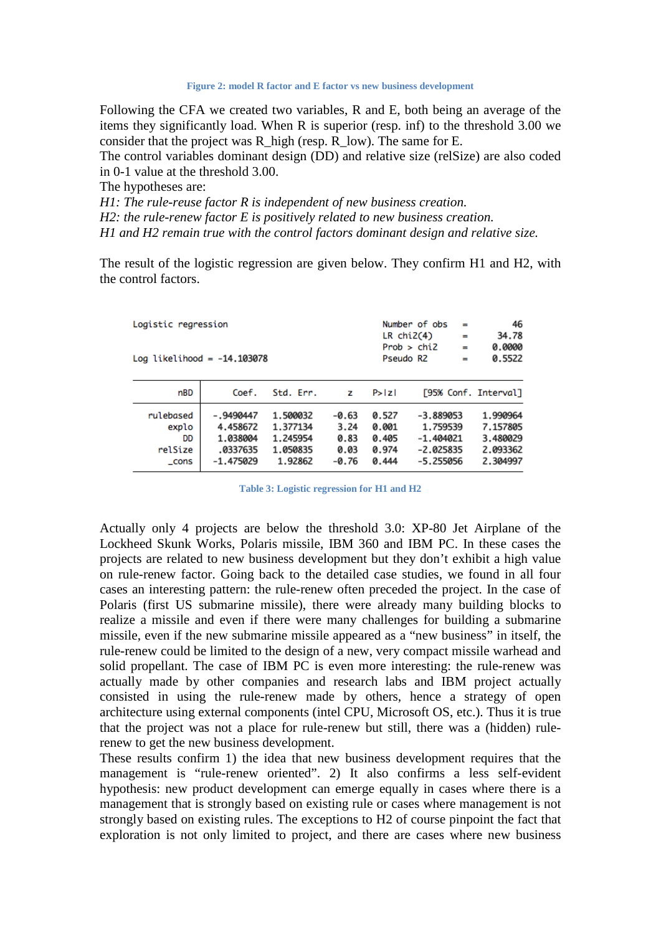**Figure 2: model R factor and E factor vs new business development**

Following the CFA we created two variables, R and E, both being an average of the items they significantly load. When R is superior (resp. inf) to the threshold 3.00 we consider that the project was R\_high (resp. R\_low). The same for E.

The control variables dominant design (DD) and relative size (relSize) are also coded in 0-1 value at the threshold 3.00.

The hypotheses are:

*H1: The rule-reuse factor R is independent of new business creation.* 

*H2: the rule-renew factor E is positively related to new business creation.* 

*H1 and H2 remain true with the control factors dominant design and relative size.* 

The result of the logistic regression are given below. They confirm H1 and H2, with the control factors.

| Logistic regression<br>Log likelihood = $-14.103078$ |                                                                |                                                         |                                            |                                           | Number of obs<br>$\equiv$<br>$LR$ chi $2(4)$<br>Prob > chi2<br>$=$<br>Pseudo R2<br>$=$ |  | 46<br>34.78<br>0.0000<br>0.5522                          |
|------------------------------------------------------|----------------------------------------------------------------|---------------------------------------------------------|--------------------------------------------|-------------------------------------------|----------------------------------------------------------------------------------------|--|----------------------------------------------------------|
| nBD                                                  | Coef.                                                          | Std. Err.                                               | z                                          | P >  Z                                    |                                                                                        |  | [95% Conf. Interval]                                     |
| rulebased<br>explo<br>DD<br>relSize<br>_cons         | $-.9490447$<br>4.458672<br>1.038004<br>.0337635<br>$-1.475029$ | 1.500032<br>1.377134<br>1.245954<br>1.050835<br>1.92862 | $-0.63$<br>3.24<br>0.83<br>0.03<br>$-0.76$ | 0.527<br>0.001<br>0.405<br>0.974<br>0.444 | $-3.889053$<br>1.759539<br>$-1.404021$<br>$-2.025835$<br>$-5.255056$                   |  | 1.990964<br>7.157805<br>3.480029<br>2.093362<br>2.304997 |

**Table 3: Logistic regression for H1 and H2**

Actually only 4 projects are below the threshold 3.0: XP-80 Jet Airplane of the Lockheed Skunk Works, Polaris missile, IBM 360 and IBM PC. In these cases the projects are related to new business development but they don't exhibit a high value on rule-renew factor. Going back to the detailed case studies, we found in all four cases an interesting pattern: the rule-renew often preceded the project. In the case of Polaris (first US submarine missile), there were already many building blocks to realize a missile and even if there were many challenges for building a submarine missile, even if the new submarine missile appeared as a "new business" in itself, the rule-renew could be limited to the design of a new, very compact missile warhead and solid propellant. The case of IBM PC is even more interesting: the rule-renew was actually made by other companies and research labs and IBM project actually consisted in using the rule-renew made by others, hence a strategy of open architecture using external components (intel CPU, Microsoft OS, etc.). Thus it is true that the project was not a place for rule-renew but still, there was a (hidden) rulerenew to get the new business development.

These results confirm 1) the idea that new business development requires that the management is "rule-renew oriented". 2) It also confirms a less self-evident hypothesis: new product development can emerge equally in cases where there is a management that is strongly based on existing rule or cases where management is not strongly based on existing rules. The exceptions to H2 of course pinpoint the fact that exploration is not only limited to project, and there are cases where new business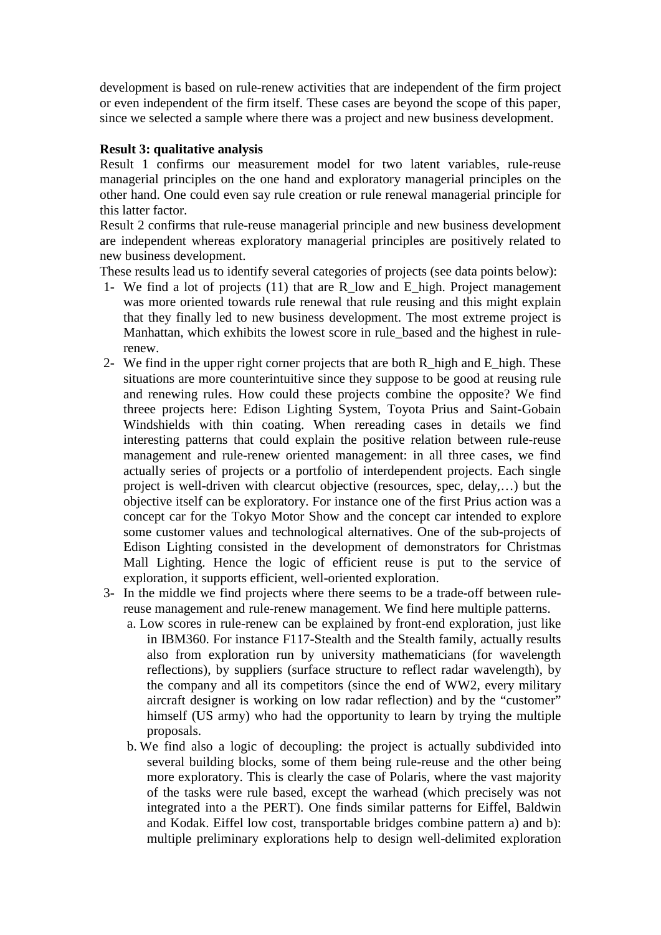development is based on rule-renew activities that are independent of the firm project or even independent of the firm itself. These cases are beyond the scope of this paper, since we selected a sample where there was a project and new business development.

## **Result 3: qualitative analysis**

Result 1 confirms our measurement model for two latent variables, rule-reuse managerial principles on the one hand and exploratory managerial principles on the other hand. One could even say rule creation or rule renewal managerial principle for this latter factor.

Result 2 confirms that rule-reuse managerial principle and new business development are independent whereas exploratory managerial principles are positively related to new business development.

These results lead us to identify several categories of projects (see data points below):

- 1- We find a lot of projects  $(11)$  that are R low and E high. Project management was more oriented towards rule renewal that rule reusing and this might explain that they finally led to new business development. The most extreme project is Manhattan, which exhibits the lowest score in rule based and the highest in rulerenew.
- 2- We find in the upper right corner projects that are both R\_high and E\_high. These situations are more counterintuitive since they suppose to be good at reusing rule and renewing rules. How could these projects combine the opposite? We find threee projects here: Edison Lighting System, Toyota Prius and Saint-Gobain Windshields with thin coating. When rereading cases in details we find interesting patterns that could explain the positive relation between rule-reuse management and rule-renew oriented management: in all three cases, we find actually series of projects or a portfolio of interdependent projects. Each single project is well-driven with clearcut objective (resources, spec, delay,…) but the objective itself can be exploratory. For instance one of the first Prius action was a concept car for the Tokyo Motor Show and the concept car intended to explore some customer values and technological alternatives. One of the sub-projects of Edison Lighting consisted in the development of demonstrators for Christmas Mall Lighting. Hence the logic of efficient reuse is put to the service of exploration, it supports efficient, well-oriented exploration.
- 3- In the middle we find projects where there seems to be a trade-off between rulereuse management and rule-renew management. We find here multiple patterns.
	- a. Low scores in rule-renew can be explained by front-end exploration, just like in IBM360. For instance F117-Stealth and the Stealth family, actually results also from exploration run by university mathematicians (for wavelength reflections), by suppliers (surface structure to reflect radar wavelength), by the company and all its competitors (since the end of WW2, every military aircraft designer is working on low radar reflection) and by the "customer" himself (US army) who had the opportunity to learn by trying the multiple proposals.
	- b. We find also a logic of decoupling: the project is actually subdivided into several building blocks, some of them being rule-reuse and the other being more exploratory. This is clearly the case of Polaris, where the vast majority of the tasks were rule based, except the warhead (which precisely was not integrated into a the PERT). One finds similar patterns for Eiffel, Baldwin and Kodak. Eiffel low cost, transportable bridges combine pattern a) and b): multiple preliminary explorations help to design well-delimited exploration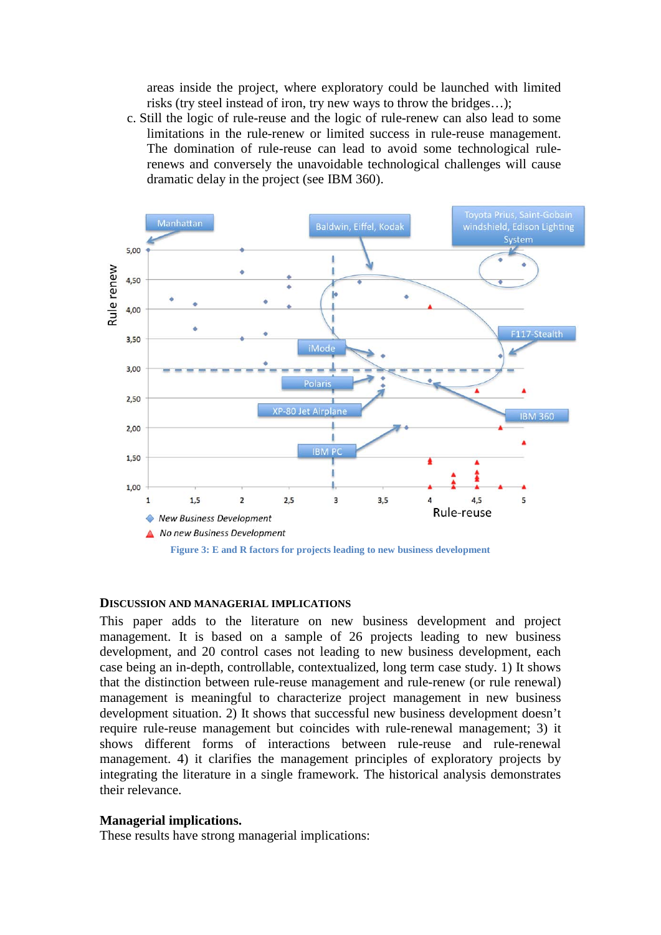areas inside the project, where exploratory could be launched with limited risks (try steel instead of iron, try new ways to throw the bridges…);

c. Still the logic of rule-reuse and the logic of rule-renew can also lead to some limitations in the rule-renew or limited success in rule-reuse management. The domination of rule-reuse can lead to avoid some technological rulerenews and conversely the unavoidable technological challenges will cause dramatic delay in the project (see IBM 360).



#### **DISCUSSION AND MANAGERIAL IMPLICATIONS**

This paper adds to the literature on new business development and project management. It is based on a sample of 26 projects leading to new business development, and 20 control cases not leading to new business development, each case being an in-depth, controllable, contextualized, long term case study. 1) It shows that the distinction between rule-reuse management and rule-renew (or rule renewal) management is meaningful to characterize project management in new business development situation. 2) It shows that successful new business development doesn't require rule-reuse management but coincides with rule-renewal management; 3) it shows different forms of interactions between rule-reuse and rule-renewal management. 4) it clarifies the management principles of exploratory projects by integrating the literature in a single framework. The historical analysis demonstrates their relevance.

#### **Managerial implications.**

These results have strong managerial implications: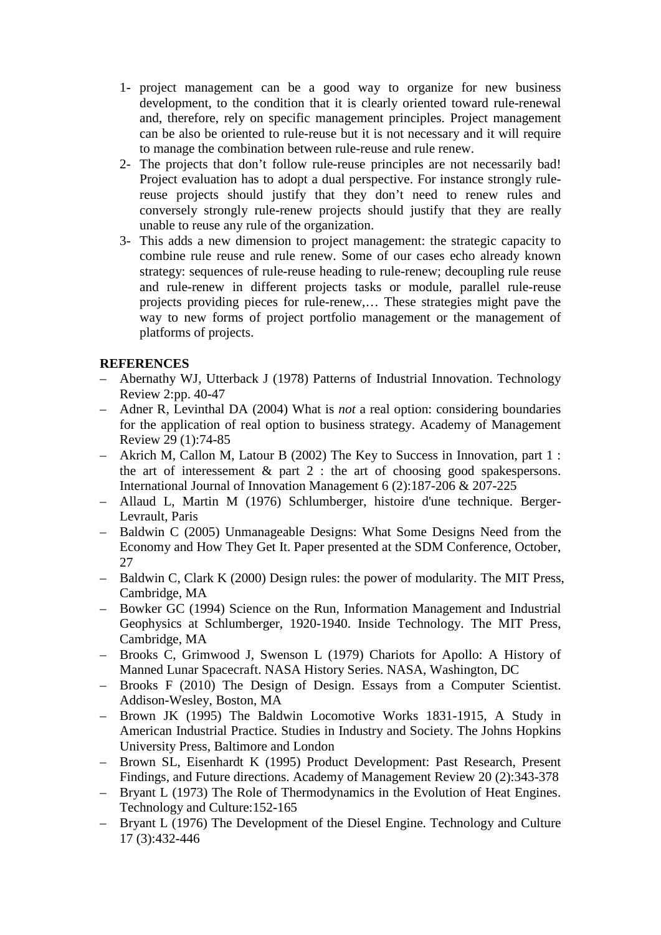- 1- project management can be a good way to organize for new business development, to the condition that it is clearly oriented toward rule-renewal and, therefore, rely on specific management principles. Project management can be also be oriented to rule-reuse but it is not necessary and it will require to manage the combination between rule-reuse and rule renew.
- 2- The projects that don't follow rule-reuse principles are not necessarily bad! Project evaluation has to adopt a dual perspective. For instance strongly rulereuse projects should justify that they don't need to renew rules and conversely strongly rule-renew projects should justify that they are really unable to reuse any rule of the organization.
- 3- This adds a new dimension to project management: the strategic capacity to combine rule reuse and rule renew. Some of our cases echo already known strategy: sequences of rule-reuse heading to rule-renew; decoupling rule reuse and rule-renew in different projects tasks or module, parallel rule-reuse projects providing pieces for rule-renew,… These strategies might pave the way to new forms of project portfolio management or the management of platforms of projects.

# **REFERENCES**

- Abernathy WJ, Utterback J (1978) Patterns of Industrial Innovation. Technology Review 2:pp. 40-47
- Adner R, Levinthal DA (2004) What is *not* a real option: considering boundaries for the application of real option to business strategy. Academy of Management Review 29 (1):74-85
- Akrich M, Callon M, Latour B (2002) The Key to Success in Innovation, part 1 : the art of interessement  $\&$  part 2 : the art of choosing good spakespersons. International Journal of Innovation Management 6 (2):187-206 & 207-225
- Allaud L, Martin M (1976) Schlumberger, histoire d'une technique. Berger-Levrault, Paris
- Baldwin C (2005) Unmanageable Designs: What Some Designs Need from the Economy and How They Get It. Paper presented at the SDM Conference, October, 27
- Baldwin C, Clark K (2000) Design rules: the power of modularity. The MIT Press, Cambridge, MA
- Bowker GC (1994) Science on the Run, Information Management and Industrial Geophysics at Schlumberger, 1920-1940. Inside Technology. The MIT Press, Cambridge, MA
- Brooks C, Grimwood J, Swenson L (1979) Chariots for Apollo: A History of Manned Lunar Spacecraft. NASA History Series. NASA, Washington, DC
- Brooks F (2010) The Design of Design. Essays from a Computer Scientist. Addison-Wesley, Boston, MA
- Brown JK (1995) The Baldwin Locomotive Works 1831-1915, A Study in American Industrial Practice. Studies in Industry and Society. The Johns Hopkins University Press, Baltimore and London
- Brown SL, Eisenhardt K (1995) Product Development: Past Research, Present Findings, and Future directions. Academy of Management Review 20 (2):343-378
- Bryant L (1973) The Role of Thermodynamics in the Evolution of Heat Engines. Technology and Culture:152-165
- Bryant L (1976) The Development of the Diesel Engine. Technology and Culture 17 (3):432-446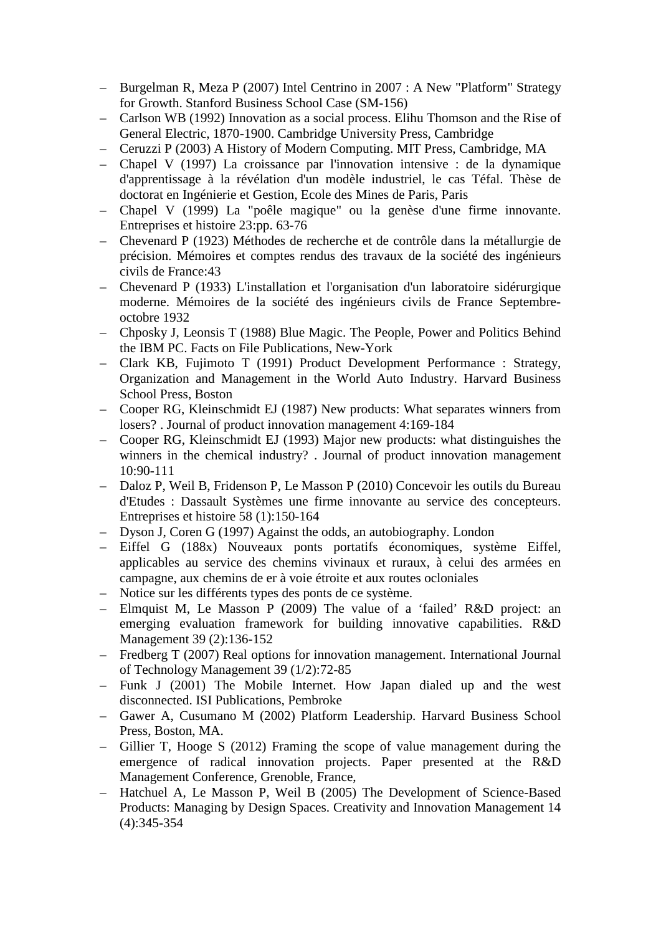- Burgelman R, Meza P (2007) Intel Centrino in 2007 : A New "Platform" Strategy for Growth. Stanford Business School Case (SM-156)
- Carlson WB (1992) Innovation as a social process. Elihu Thomson and the Rise of General Electric, 1870-1900. Cambridge University Press, Cambridge
- Ceruzzi P (2003) A History of Modern Computing. MIT Press, Cambridge, MA
- Chapel V (1997) La croissance par l'innovation intensive : de la dynamique d'apprentissage à la révélation d'un modèle industriel, le cas Téfal. Thèse de doctorat en Ingénierie et Gestion, Ecole des Mines de Paris, Paris
- Chapel V (1999) La "poêle magique" ou la genèse d'une firme innovante. Entreprises et histoire 23:pp. 63-76
- Chevenard P (1923) Méthodes de recherche et de contrôle dans la métallurgie de précision. Mémoires et comptes rendus des travaux de la société des ingénieurs civils de France:43
- Chevenard P (1933) L'installation et l'organisation d'un laboratoire sidérurgique moderne. Mémoires de la société des ingénieurs civils de France Septembreoctobre 1932
- Chposky J, Leonsis T (1988) Blue Magic. The People, Power and Politics Behind the IBM PC. Facts on File Publications, New-York
- Clark KB, Fujimoto T (1991) Product Development Performance : Strategy, Organization and Management in the World Auto Industry. Harvard Business School Press, Boston
- Cooper RG, Kleinschmidt EJ (1987) New products: What separates winners from losers? . Journal of product innovation management 4:169-184
- Cooper RG, Kleinschmidt EJ (1993) Major new products: what distinguishes the winners in the chemical industry? . Journal of product innovation management 10:90-111
- Daloz P, Weil B, Fridenson P, Le Masson P (2010) Concevoir les outils du Bureau d'Etudes : Dassault Systèmes une firme innovante au service des concepteurs. Entreprises et histoire 58 (1):150-164
- Dyson J, Coren G (1997) Against the odds, an autobiography. London
- Eiffel G (188x) Nouveaux ponts portatifs économiques, système Eiffel, applicables au service des chemins vivinaux et ruraux, à celui des armées en campagne, aux chemins de er à voie étroite et aux routes ocloniales
- Notice sur les différents types des ponts de ce système.
- Elmquist M, Le Masson P (2009) The value of a 'failed' R&D project: an emerging evaluation framework for building innovative capabilities. R&D Management 39 (2):136-152
- Fredberg T (2007) Real options for innovation management. International Journal of Technology Management 39 (1/2):72-85
- Funk J (2001) The Mobile Internet. How Japan dialed up and the west disconnected. ISI Publications, Pembroke
- Gawer A, Cusumano M (2002) Platform Leadership. Harvard Business School Press, Boston, MA.
- Gillier T, Hooge S (2012) Framing the scope of value management during the emergence of radical innovation projects. Paper presented at the R&D Management Conference, Grenoble, France,
- Hatchuel A, Le Masson P, Weil B (2005) The Development of Science-Based Products: Managing by Design Spaces. Creativity and Innovation Management 14 (4):345-354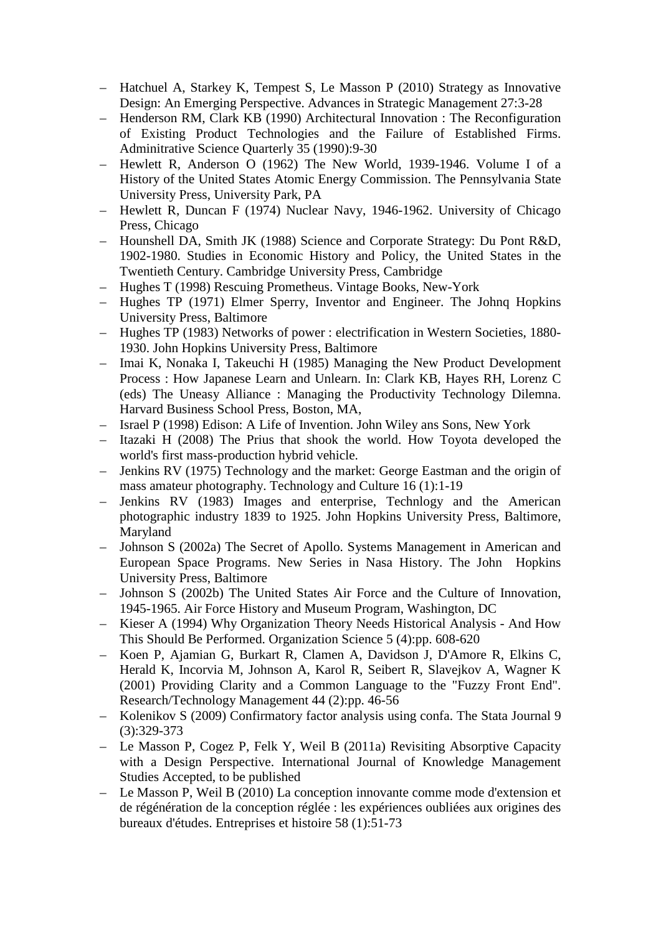- Hatchuel A, Starkey K, Tempest S, Le Masson P (2010) Strategy as Innovative Design: An Emerging Perspective. Advances in Strategic Management 27:3-28
- Henderson RM, Clark KB (1990) Architectural Innovation : The Reconfiguration of Existing Product Technologies and the Failure of Established Firms. Adminitrative Science Quarterly 35 (1990):9-30
- Hewlett R, Anderson O (1962) The New World, 1939-1946. Volume I of a History of the United States Atomic Energy Commission. The Pennsylvania State University Press, University Park, PA
- Hewlett R, Duncan F (1974) Nuclear Navy, 1946-1962. University of Chicago Press, Chicago
- Hounshell DA, Smith JK (1988) Science and Corporate Strategy: Du Pont R&D, 1902-1980. Studies in Economic History and Policy, the United States in the Twentieth Century. Cambridge University Press, Cambridge
- Hughes T (1998) Rescuing Prometheus. Vintage Books, New-York
- Hughes TP (1971) Elmer Sperry, Inventor and Engineer. The Johnq Hopkins University Press, Baltimore
- Hughes TP (1983) Networks of power : electrification in Western Societies, 1880- 1930. John Hopkins University Press, Baltimore
- Imai K, Nonaka I, Takeuchi H (1985) Managing the New Product Development Process : How Japanese Learn and Unlearn. In: Clark KB, Hayes RH, Lorenz C (eds) The Uneasy Alliance : Managing the Productivity Technology Dilemna. Harvard Business School Press, Boston, MA,
- Israel P (1998) Edison: A Life of Invention. John Wiley ans Sons, New York
- Itazaki H (2008) The Prius that shook the world. How Toyota developed the world's first mass-production hybrid vehicle.
- Jenkins RV (1975) Technology and the market: George Eastman and the origin of mass amateur photography. Technology and Culture 16 (1):1-19
- Jenkins RV (1983) Images and enterprise, Technlogy and the American photographic industry 1839 to 1925. John Hopkins University Press, Baltimore, Maryland
- Johnson S (2002a) The Secret of Apollo. Systems Management in American and European Space Programs. New Series in Nasa History. The John Hopkins University Press, Baltimore
- Johnson S (2002b) The United States Air Force and the Culture of Innovation, 1945-1965. Air Force History and Museum Program, Washington, DC
- Kieser A (1994) Why Organization Theory Needs Historical Analysis And How This Should Be Performed. Organization Science 5 (4):pp. 608-620
- Koen P, Ajamian G, Burkart R, Clamen A, Davidson J, D'Amore R, Elkins C, Herald K, Incorvia M, Johnson A, Karol R, Seibert R, Slavejkov A, Wagner K (2001) Providing Clarity and a Common Language to the "Fuzzy Front End". Research/Technology Management 44 (2):pp. 46-56
- Kolenikov S (2009) Confirmatory factor analysis using confa. The Stata Journal 9 (3):329-373
- Le Masson P, Cogez P, Felk Y, Weil B (2011a) Revisiting Absorptive Capacity with a Design Perspective. International Journal of Knowledge Management Studies Accepted, to be published
- Le Masson P, Weil B (2010) La conception innovante comme mode d'extension et de régénération de la conception réglée : les expériences oubliées aux origines des bureaux d'études. Entreprises et histoire 58 (1):51-73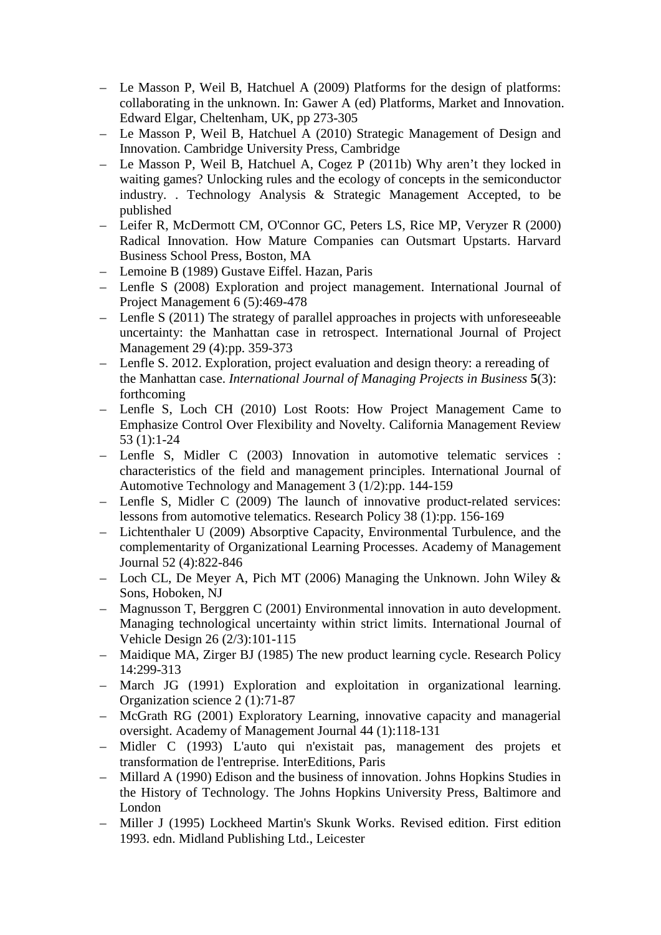- Le Masson P, Weil B, Hatchuel A (2009) Platforms for the design of platforms: collaborating in the unknown. In: Gawer A (ed) Platforms, Market and Innovation. Edward Elgar, Cheltenham, UK, pp 273-305
- Le Masson P, Weil B, Hatchuel A (2010) Strategic Management of Design and Innovation. Cambridge University Press, Cambridge
- Le Masson P, Weil B, Hatchuel A, Cogez P (2011b) Why aren't they locked in waiting games? Unlocking rules and the ecology of concepts in the semiconductor industry. . Technology Analysis & Strategic Management Accepted, to be published
- Leifer R, McDermott CM, O'Connor GC, Peters LS, Rice MP, Veryzer R (2000) Radical Innovation. How Mature Companies can Outsmart Upstarts. Harvard Business School Press, Boston, MA
- Lemoine B (1989) Gustave Eiffel. Hazan, Paris
- Lenfle S (2008) Exploration and project management. International Journal of Project Management 6 (5):469-478
- Lenfle S (2011) The strategy of parallel approaches in projects with unforeseeable uncertainty: the Manhattan case in retrospect. International Journal of Project Management 29 (4):pp. 359-373
- Lenfle S. 2012. Exploration, project evaluation and design theory: a rereading of the Manhattan case. *International Journal of Managing Projects in Business* **5**(3): forthcoming
- Lenfle S, Loch CH (2010) Lost Roots: How Project Management Came to Emphasize Control Over Flexibility and Novelty. California Management Review 53 (1):1-24
- Lenfle S, Midler C (2003) Innovation in automotive telematic services : characteristics of the field and management principles. International Journal of Automotive Technology and Management 3 (1/2):pp. 144-159
- Lenfle S, Midler C (2009) The launch of innovative product-related services: lessons from automotive telematics. Research Policy 38 (1):pp. 156-169
- Lichtenthaler U (2009) Absorptive Capacity, Environmental Turbulence, and the complementarity of Organizational Learning Processes. Academy of Management Journal 52 (4):822-846
- Loch CL, De Meyer A, Pich MT (2006) Managing the Unknown. John Wiley  $\&$ Sons, Hoboken, NJ
- Magnusson T, Berggren C (2001) Environmental innovation in auto development. Managing technological uncertainty within strict limits. International Journal of Vehicle Design 26 (2/3):101-115
- Maidique MA, Zirger BJ (1985) The new product learning cycle. Research Policy 14:299-313
- March JG (1991) Exploration and exploitation in organizational learning. Organization science 2 (1):71-87
- McGrath RG (2001) Exploratory Learning, innovative capacity and managerial oversight. Academy of Management Journal 44 (1):118-131
- Midler C (1993) L'auto qui n'existait pas, management des projets et transformation de l'entreprise. InterEditions, Paris
- Millard A (1990) Edison and the business of innovation. Johns Hopkins Studies in the History of Technology. The Johns Hopkins University Press, Baltimore and London
- Miller J (1995) Lockheed Martin's Skunk Works. Revised edition. First edition 1993. edn. Midland Publishing Ltd., Leicester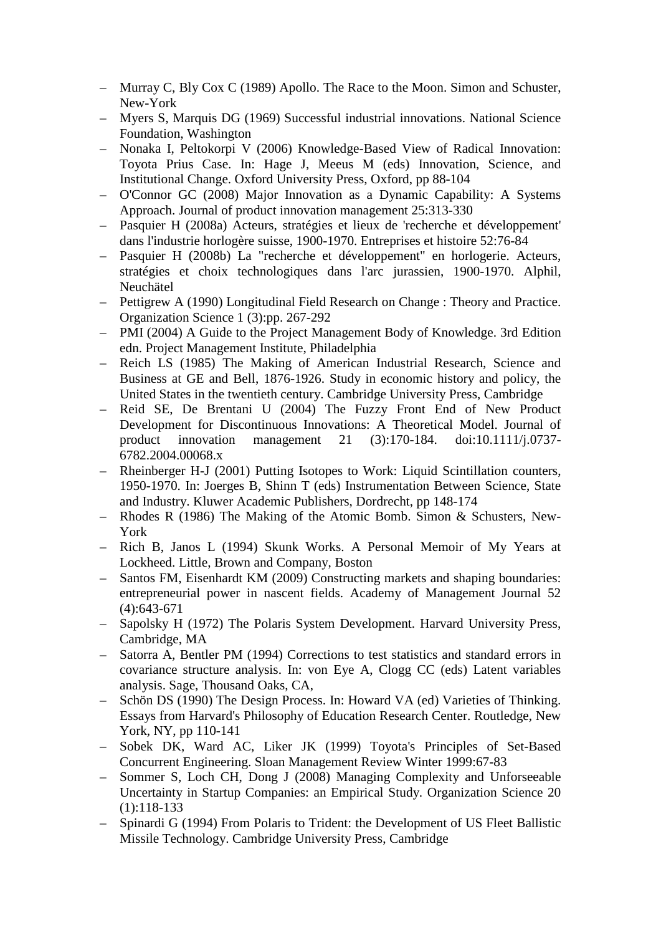- Murray C, Bly Cox C (1989) Apollo. The Race to the Moon. Simon and Schuster, New-York
- Myers S, Marquis DG (1969) Successful industrial innovations. National Science Foundation, Washington
- Nonaka I, Peltokorpi V (2006) Knowledge-Based View of Radical Innovation: Toyota Prius Case. In: Hage J, Meeus M (eds) Innovation, Science, and Institutional Change. Oxford University Press, Oxford, pp 88-104
- O'Connor GC (2008) Major Innovation as a Dynamic Capability: A Systems Approach. Journal of product innovation management 25:313-330
- Pasquier H (2008a) Acteurs, stratégies et lieux de 'recherche et développement' dans l'industrie horlogère suisse, 1900-1970. Entreprises et histoire 52:76-84
- Pasquier H (2008b) La "recherche et développement" en horlogerie. Acteurs, stratégies et choix technologiques dans l'arc jurassien, 1900-1970. Alphil, Neuchätel
- Pettigrew A (1990) Longitudinal Field Research on Change : Theory and Practice. Organization Science 1 (3):pp. 267-292
- PMI (2004) A Guide to the Project Management Body of Knowledge. 3rd Edition edn. Project Management Institute, Philadelphia
- Reich LS (1985) The Making of American Industrial Research, Science and Business at GE and Bell, 1876-1926. Study in economic history and policy, the United States in the twentieth century. Cambridge University Press, Cambridge
- Reid SE, De Brentani U (2004) The Fuzzy Front End of New Product Development for Discontinuous Innovations: A Theoretical Model. Journal of product innovation management 21 (3):170-184. doi:10.1111/j.0737- 6782.2004.00068.x
- Rheinberger H-J (2001) Putting Isotopes to Work: Liquid Scintillation counters, 1950-1970. In: Joerges B, Shinn T (eds) Instrumentation Between Science, State and Industry. Kluwer Academic Publishers, Dordrecht, pp 148-174
- Rhodes R (1986) The Making of the Atomic Bomb. Simon & Schusters, New-York
- Rich B, Janos L (1994) Skunk Works. A Personal Memoir of My Years at Lockheed. Little, Brown and Company, Boston
- Santos FM, Eisenhardt KM (2009) Constructing markets and shaping boundaries: entrepreneurial power in nascent fields. Academy of Management Journal 52 (4):643-671
- Sapolsky H (1972) The Polaris System Development. Harvard University Press, Cambridge, MA
- Satorra A, Bentler PM (1994) Corrections to test statistics and standard errors in covariance structure analysis. In: von Eye A, Clogg CC (eds) Latent variables analysis. Sage, Thousand Oaks, CA,
- Schön DS (1990) The Design Process. In: Howard VA (ed) Varieties of Thinking. Essays from Harvard's Philosophy of Education Research Center. Routledge, New York, NY, pp 110-141
- Sobek DK, Ward AC, Liker JK (1999) Toyota's Principles of Set-Based Concurrent Engineering. Sloan Management Review Winter 1999:67-83
- Sommer S, Loch CH, Dong J (2008) Managing Complexity and Unforseeable Uncertainty in Startup Companies: an Empirical Study. Organization Science 20 (1):118-133
- Spinardi G (1994) From Polaris to Trident: the Development of US Fleet Ballistic Missile Technology. Cambridge University Press, Cambridge